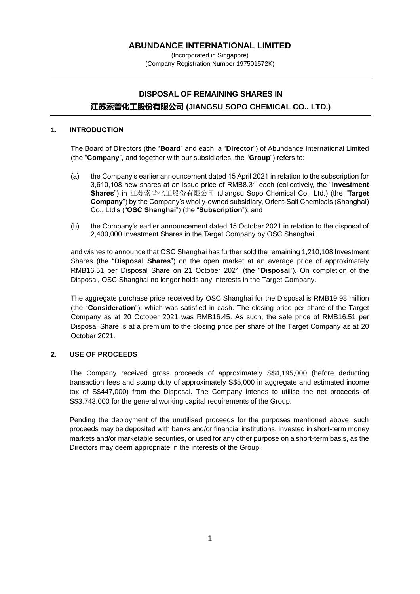# **ABUNDANCE INTERNATIONAL LIMITED**

(Incorporated in Singapore) (Company Registration Number 197501572K)

# **DISPOSAL OF REMAINING SHARES IN 江苏索普化工股份有限公司 (JIANGSU SOPO CHEMICAL CO., LTD.)**

#### **1. INTRODUCTION**

The Board of Directors (the "**Board**" and each, a "**Director**") of Abundance International Limited (the "**Company**", and together with our subsidiaries, the "**Group**") refers to:

- (a) the Company's earlier announcement dated 15 April 2021 in relation to the subscription for 3,610,108 new shares at an issue price of RMB8.31 each (collectively, the "**Investment Shares**") in 江苏索普化工股份有限公司 (Jiangsu Sopo Chemical Co., Ltd.) (the "**Target Company**") by the Company's wholly-owned subsidiary, Orient-Salt Chemicals (Shanghai) Co., Ltd's ("**OSC Shanghai**") (the "**Subscription**"); and
- (b) the Company's earlier announcement dated 15 October 2021 in relation to the disposal of 2,400,000 Investment Shares in the Target Company by OSC Shanghai,

and wishes to announce that OSC Shanghai has further sold the remaining 1,210,108 Investment Shares (the "**Disposal Shares**") on the open market at an average price of approximately RMB16.51 per Disposal Share on 21 October 2021 (the "**Disposal**"). On completion of the Disposal, OSC Shanghai no longer holds any interests in the Target Company.

The aggregate purchase price received by OSC Shanghai for the Disposal is RMB19.98 million (the "**Consideration**"), which was satisfied in cash. The closing price per share of the Target Company as at 20 October 2021 was RMB16.45. As such, the sale price of RMB16.51 per Disposal Share is at a premium to the closing price per share of the Target Company as at 20 October 2021.

#### **2. USE OF PROCEEDS**

The Company received gross proceeds of approximately S\$4,195,000 (before deducting transaction fees and stamp duty of approximately S\$5,000 in aggregate and estimated income tax of S\$447,000) from the Disposal. The Company intends to utilise the net proceeds of S\$3,743,000 for the general working capital requirements of the Group.

Pending the deployment of the unutilised proceeds for the purposes mentioned above, such proceeds may be deposited with banks and/or financial institutions, invested in short-term money markets and/or marketable securities, or used for any other purpose on a short-term basis, as the Directors may deem appropriate in the interests of the Group.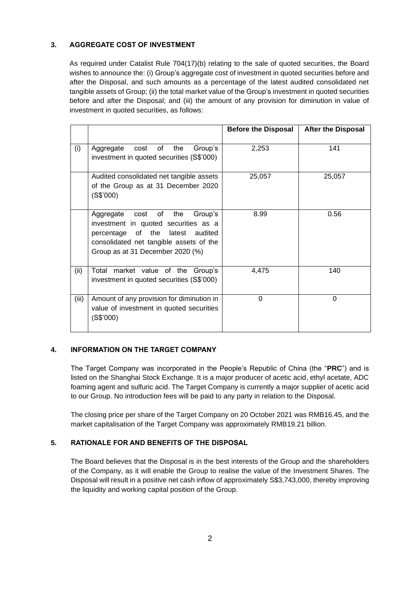# **3. AGGREGATE COST OF INVESTMENT**

As required under Catalist Rule 704(17)(b) relating to the sale of quoted securities, the Board wishes to announce the: (i) Group's aggregate cost of investment in quoted securities before and after the Disposal, and such amounts as a percentage of the latest audited consolidated net tangible assets of Group; (ii) the total market value of the Group's investment in quoted securities before and after the Disposal; and (iii) the amount of any provision for diminution in value of investment in quoted securities, as follows:

|       |                                                                                                                                                                                                | <b>Before the Disposal</b> | <b>After the Disposal</b> |
|-------|------------------------------------------------------------------------------------------------------------------------------------------------------------------------------------------------|----------------------------|---------------------------|
| (i)   | the<br>Aggregate<br>cost of<br>Group's<br>investment in quoted securities (S\$'000)                                                                                                            | 2,253                      | 141                       |
|       | Audited consolidated net tangible assets<br>of the Group as at 31 December 2020<br>(S\$'000)                                                                                                   | 25,057                     | 25,057                    |
|       | Aggregate cost of the<br>Group's<br>investment in quoted securities as a<br>of the latest audited<br>percentage<br>consolidated net tangible assets of the<br>Group as at 31 December 2020 (%) | 8.99                       | 0.56                      |
| (ii)  | market value of the Group's<br>Total<br>investment in quoted securities (S\$'000)                                                                                                              | 4,475                      | 140                       |
| (iii) | Amount of any provision for diminution in<br>value of investment in quoted securities<br>(S\$'000)                                                                                             | 0                          | 0                         |

#### **4. INFORMATION ON THE TARGET COMPANY**

The Target Company was incorporated in the People's Republic of China (the "**PRC**") and is listed on the Shanghai Stock Exchange. It is a major producer of acetic acid, ethyl acetate, ADC foaming agent and sulfuric acid. The Target Company is currently a major supplier of acetic acid to our Group. No introduction fees will be paid to any party in relation to the Disposal.

The closing price per share of the Target Company on 20 October 2021 was RMB16.45, and the market capitalisation of the Target Company was approximately RMB19.21 billion.

# **5. RATIONALE FOR AND BENEFITS OF THE DISPOSAL**

The Board believes that the Disposal is in the best interests of the Group and the shareholders of the Company, as it will enable the Group to realise the value of the Investment Shares. The Disposal will result in a positive net cash inflow of approximately S\$3,743,000, thereby improving the liquidity and working capital position of the Group.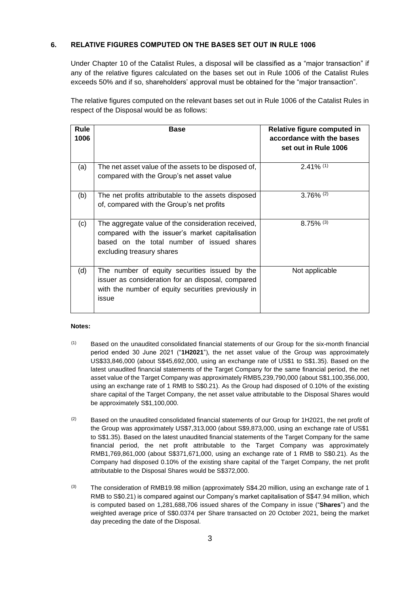#### **6. RELATIVE FIGURES COMPUTED ON THE BASES SET OUT IN RULE 1006**

Under Chapter 10 of the Catalist Rules, a disposal will be classified as a "major transaction" if any of the relative figures calculated on the bases set out in Rule 1006 of the Catalist Rules exceeds 50% and if so, shareholders' approval must be obtained for the "major transaction".

The relative figures computed on the relevant bases set out in Rule 1006 of the Catalist Rules in respect of the Disposal would be as follows:

| <b>Rule</b><br>1006 | <b>Base</b>                                                                                                                                                                       | Relative figure computed in<br>accordance with the bases<br>set out in Rule 1006 |
|---------------------|-----------------------------------------------------------------------------------------------------------------------------------------------------------------------------------|----------------------------------------------------------------------------------|
| (a)                 | The net asset value of the assets to be disposed of,<br>compared with the Group's net asset value                                                                                 | $2.41\%$ <sup>(1)</sup>                                                          |
| (b)                 | The net profits attributable to the assets disposed<br>of, compared with the Group's net profits                                                                                  | $3.76\%$ (2)                                                                     |
| (c)                 | The aggregate value of the consideration received,<br>compared with the issuer's market capitalisation<br>based on the total number of issued shares<br>excluding treasury shares | $8.75\%$ (3)                                                                     |
| (d)                 | The number of equity securities issued by the<br>issuer as consideration for an disposal, compared<br>with the number of equity securities previously in<br>issue                 | Not applicable                                                                   |

#### **Notes:**

- (1) Based on the unaudited consolidated financial statements of our Group for the six-month financial period ended 30 June 2021 ("**1H2021**"), the net asset value of the Group was approximately US\$33,846,000 (about S\$45,692,000, using an exchange rate of US\$1 to S\$1.35). Based on the latest unaudited financial statements of the Target Company for the same financial period, the net asset value of the Target Company was approximately RMB5,239,790,000 (about S\$1,100,356,000, using an exchange rate of 1 RMB to S\$0.21). As the Group had disposed of 0.10% of the existing share capital of the Target Company, the net asset value attributable to the Disposal Shares would be approximately S\$1,100,000.
- <sup>(2)</sup> Based on the unaudited consolidated financial statements of our Group for 1H2021, the net profit of the Group was approximately US\$7,313,000 (about S\$9,873,000, using an exchange rate of US\$1 to S\$1.35). Based on the latest unaudited financial statements of the Target Company for the same financial period, the net profit attributable to the Target Company was approximately RMB1,769,861,000 (about S\$371,671,000, using an exchange rate of 1 RMB to S\$0.21). As the Company had disposed 0.10% of the existing share capital of the Target Company, the net profit attributable to the Disposal Shares would be S\$372,000.
- (3) The consideration of RMB19.98 million (approximately S\$4.20 million, using an exchange rate of 1 RMB to S\$0.21) is compared against our Company's market capitalisation of S\$47.94 million, which is computed based on 1,281,688,706 issued shares of the Company in issue ("**Shares**") and the weighted average price of S\$0.0374 per Share transacted on 20 October 2021, being the market day preceding the date of the Disposal.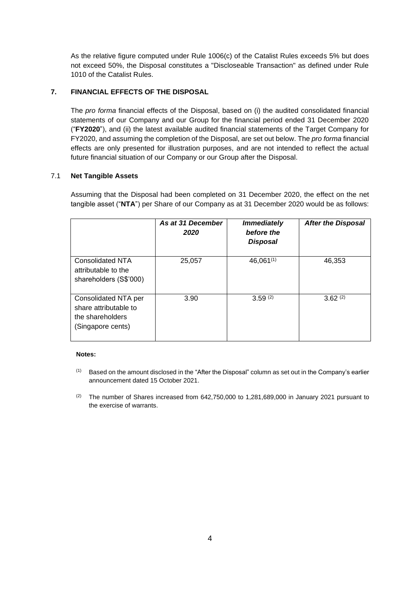As the relative figure computed under Rule 1006(c) of the Catalist Rules exceeds 5% but does not exceed 50%, the Disposal constitutes a "Discloseable Transaction" as defined under Rule 1010 of the Catalist Rules.

#### **7. FINANCIAL EFFECTS OF THE DISPOSAL**

The *pro forma* financial effects of the Disposal, based on (i) the audited consolidated financial statements of our Company and our Group for the financial period ended 31 December 2020 ("**FY2020**"), and (ii) the latest available audited financial statements of the Target Company for FY2020, and assuming the completion of the Disposal, are set out below. The *pro forma* financial effects are only presented for illustration purposes, and are not intended to reflect the actual future financial situation of our Company or our Group after the Disposal.

#### 7.1 **Net Tangible Assets**

Assuming that the Disposal had been completed on 31 December 2020, the effect on the net tangible asset ("**NTA**") per Share of our Company as at 31 December 2020 would be as follows:

|                                                                                        | As at 31 December<br>2020 | <b>Immediately</b><br>before the<br><b>Disposal</b> | <b>After the Disposal</b> |
|----------------------------------------------------------------------------------------|---------------------------|-----------------------------------------------------|---------------------------|
| <b>Consolidated NTA</b><br>attributable to the<br>shareholders (S\$'000)               | 25,057                    | $46,061^{(1)}$                                      | 46,353                    |
| Consolidated NTA per<br>share attributable to<br>the shareholders<br>(Singapore cents) | 3.90                      | 3.59(2)                                             | $3.62^{(2)}$              |

#### **Notes:**

- $(1)$  Based on the amount disclosed in the "After the Disposal" column as set out in the Company's earlier announcement dated 15 October 2021.
- (2) The number of Shares increased from 642,750,000 to 1,281,689,000 in January 2021 pursuant to the exercise of warrants.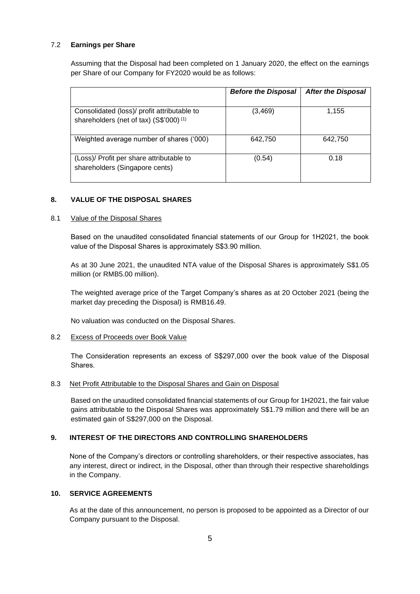### 7.2 **Earnings per Share**

Assuming that the Disposal had been completed on 1 January 2020, the effect on the earnings per Share of our Company for FY2020 would be as follows:

|                                                                                                   | <b>Before the Disposal</b> | <b>After the Disposal</b> |
|---------------------------------------------------------------------------------------------------|----------------------------|---------------------------|
| Consolidated (loss)/ profit attributable to<br>shareholders (net of tax) (S\$'000) <sup>(1)</sup> | (3, 469)                   | 1,155                     |
| Weighted average number of shares ('000)                                                          | 642,750                    | 642,750                   |
| (Loss)/ Profit per share attributable to<br>shareholders (Singapore cents)                        | (0.54)                     | 0.18                      |

# **8. VALUE OF THE DISPOSAL SHARES**

#### 8.1 Value of the Disposal Shares

Based on the unaudited consolidated financial statements of our Group for 1H2021, the book value of the Disposal Shares is approximately S\$3.90 million.

As at 30 June 2021, the unaudited NTA value of the Disposal Shares is approximately S\$1.05 million (or RMB5.00 million).

The weighted average price of the Target Company's shares as at 20 October 2021 (being the market day preceding the Disposal) is RMB16.49.

No valuation was conducted on the Disposal Shares.

#### 8.2 Excess of Proceeds over Book Value

The Consideration represents an excess of S\$297,000 over the book value of the Disposal Shares.

#### 8.3 Net Profit Attributable to the Disposal Shares and Gain on Disposal

Based on the unaudited consolidated financial statements of our Group for 1H2021, the fair value gains attributable to the Disposal Shares was approximately S\$1.79 million and there will be an estimated gain of S\$297,000 on the Disposal.

#### **9. INTEREST OF THE DIRECTORS AND CONTROLLING SHAREHOLDERS**

None of the Company's directors or controlling shareholders, or their respective associates, has any interest, direct or indirect, in the Disposal, other than through their respective shareholdings in the Company.

#### **10. SERVICE AGREEMENTS**

As at the date of this announcement, no person is proposed to be appointed as a Director of our Company pursuant to the Disposal.